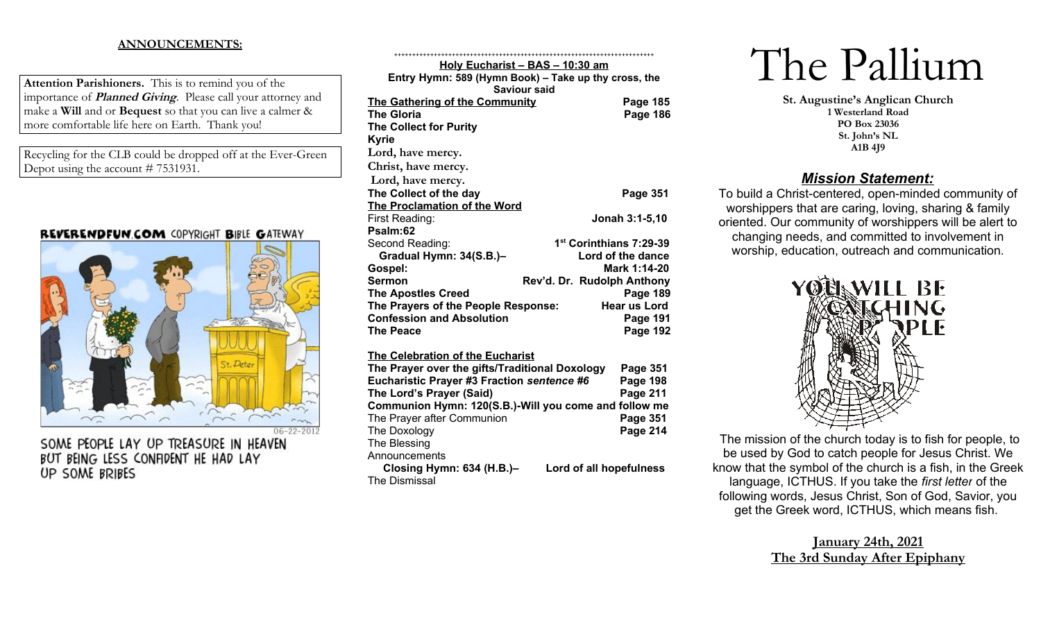## **ANNOUNCEMENTS:**

**Attention Parishioners.** This is to remind you of the importance of **Planned Giving**. Please call your attorney and make a **Will** and or **Bequest** so that you can live a calmer & more comfortable life here on Earth. Thank you!

Recycling for the CLB could be dropped off at the Ever-Green Depot using the account # 7531931.

## REVERENDFUN.COM COPYRIGHT BIBLE GATEWAY



SOME PEOPLE LAY UP TREASURE IN HEAVEN BUT BEING LESS CONFIDENT HE HAD LAY UP SOME BRIBES

| Holy Eucharist - BAS - 10:30 am                       |                            |
|-------------------------------------------------------|----------------------------|
| Entry Hymn: 589 (Hymn Book) - Take up thy cross, the  |                            |
| <b>Saviour said</b>                                   |                            |
| The Gathering of the Community                        | Page 185                   |
| <b>The Gloria</b>                                     | <b>Page 186</b>            |
| <b>The Collect for Purity</b>                         |                            |
| <b>Kyrie</b>                                          |                            |
| Lord, have mercy.                                     |                            |
| Christ, have mercy.                                   |                            |
| Lord, have mercy.                                     |                            |
| The Collect of the day                                | <b>Page 351</b>            |
| The Proclamation of the Word                          |                            |
| First Reading:                                        | Jonah 3:1-5,10             |
| Psalm:62                                              |                            |
| Second Reading:                                       | 1st Corinthians 7:29-39    |
| Gradual Hymn: 34(S.B.)-                               | Lord of the dance          |
| Gospel:                                               | Mark 1:14-20               |
| <b>Sermon</b>                                         | Rev'd. Dr. Rudolph Anthony |
| <b>The Apostles Creed</b>                             | Page 189                   |
| The Prayers of the People Response:                   | Hear us Lord               |
| <b>Confession and Absolution</b>                      | Page 191                   |
| <b>The Peace</b>                                      | <b>Page 192</b>            |
|                                                       |                            |
| The Celebration of the Eucharist                      |                            |
| The Prayer over the gifts/Traditional Doxology        | Page 351                   |
| Eucharistic Prayer #3 Fraction sentence #6            | <b>Page 198</b>            |
| The Lord's Prayer (Said)                              | Page 211                   |
| Communion Hymn: 120(S.B.)-Will you come and follow me |                            |
| The Prayer after Communion                            | Page 351                   |
| The Doxology                                          | <b>Page 214</b>            |
| The Blessing                                          |                            |
| Announcements                                         |                            |
| Closing Hymn: 634 (H.B.)-                             | Lord of all hopefulness    |
| <b>The Dismissal</b>                                  |                            |

++++++++++++++++++++++++++++++++++++++++++++++++++++++++++++++++++++++++

# The Pallium

**St. Augustine's Anglican Church 1 Westerland Road PO Box 23036 St. John's NL A1B 4J9**

## *Mission Statement:*

To build a Christ-centered, open-minded community of worshippers that are caring, loving, sharing & family oriented. Our community of worshippers will be alert to changing needs, and committed to involvement in worship, education, outreach and communication.



The mission of the church today is to fish for people, to be used by God to catch people for Jesus Christ. We know that the symbol of the church is a fish, in the Greek language, ICTHUS. If you take the *first letter* of the following words, Jesus Christ, Son of God, Savior, you get the Greek word, ICTHUS, which means fish.

## **January 24th, 2021 The 3rd Sunday After Epiphany**